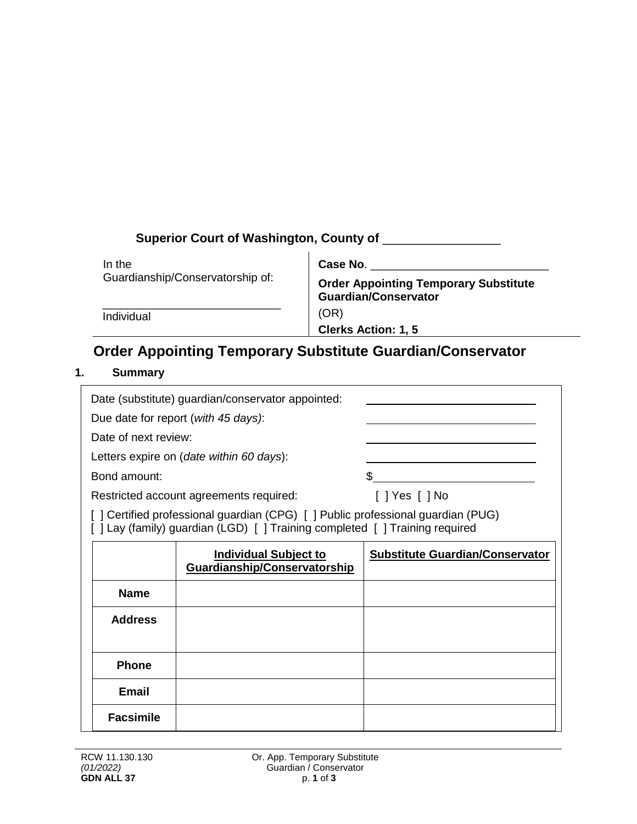| Superior Court of Washington, County of |                                                                             |  |  |  |
|-----------------------------------------|-----------------------------------------------------------------------------|--|--|--|
| In the                                  | Case No.                                                                    |  |  |  |
| Guardianship/Conservatorship of:        | <b>Order Appointing Temporary Substitute</b><br><b>Guardian/Conservator</b> |  |  |  |
| Individual                              | (OR)<br><b>Clerks Action: 1, 5</b>                                          |  |  |  |

## **Order Appointing Temporary Substitute Guardian/Conservator**

## **1. Summary**

| Date (substitute) guardian/conservator appointed:                                                                                                                |                                          |                                        |  |  |  |
|------------------------------------------------------------------------------------------------------------------------------------------------------------------|------------------------------------------|----------------------------------------|--|--|--|
|                                                                                                                                                                  | Due date for report (with 45 days):      |                                        |  |  |  |
| Date of next review:                                                                                                                                             |                                          |                                        |  |  |  |
|                                                                                                                                                                  | Letters expire on (date within 60 days): |                                        |  |  |  |
| Bond amount:                                                                                                                                                     |                                          | \$                                     |  |  |  |
| Restricted account agreements required:                                                                                                                          |                                          | $[$ ] Yes $[$ ] No                     |  |  |  |
| [ ] Certified professional guardian (CPG) [ ] Public professional guardian (PUG)<br>[ ] Lay (family) guardian (LGD) [ ] Training completed [ ] Training required |                                          |                                        |  |  |  |
|                                                                                                                                                                  | <b>Individual Subject to</b>             | <b>Substitute Guardian/Conservator</b> |  |  |  |
|                                                                                                                                                                  | Guardianship/Conservatorship             |                                        |  |  |  |
| <b>Name</b>                                                                                                                                                      |                                          |                                        |  |  |  |
| <b>Address</b>                                                                                                                                                   |                                          |                                        |  |  |  |
| <b>Phone</b>                                                                                                                                                     |                                          |                                        |  |  |  |
| Email                                                                                                                                                            |                                          |                                        |  |  |  |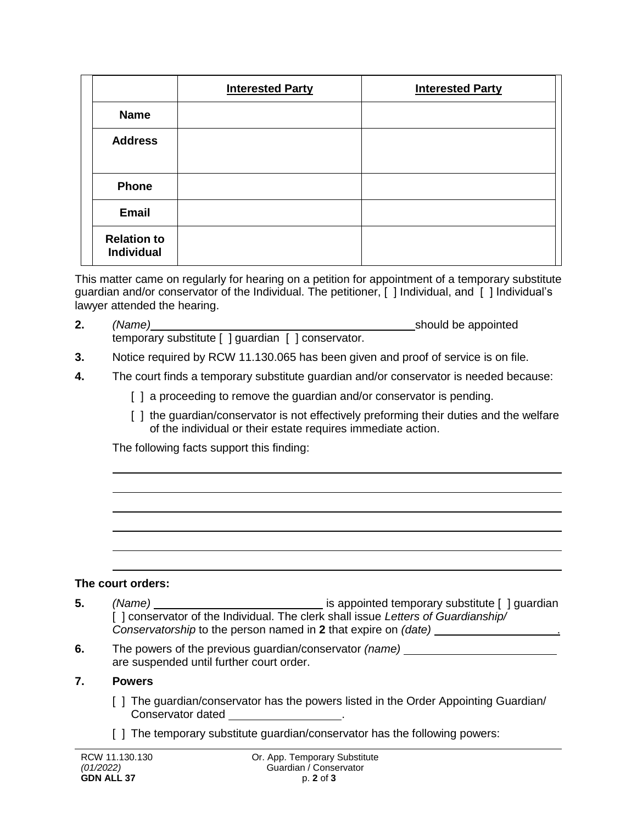|                                         | <b>Interested Party</b> | <b>Interested Party</b> |
|-----------------------------------------|-------------------------|-------------------------|
| <b>Name</b>                             |                         |                         |
| <b>Address</b>                          |                         |                         |
| <b>Phone</b>                            |                         |                         |
| Email                                   |                         |                         |
| <b>Relation to</b><br><b>Individual</b> |                         |                         |

This matter came on regularly for hearing on a petition for appointment of a temporary substitute guardian and/or conservator of the Individual. The petitioner, [ ] Individual, and [ ] Individual's lawyer attended the hearing.

- **2.** *(Name) (Name)* **1.** *(Name)* should be appointed temporary substitute [ ] guardian [ ] conservator.
- **3.** Notice required by RCW 11.130.065 has been given and proof of service is on file.
- **4.** The court finds a temporary substitute guardian and/or conservator is needed because:
	- [] a proceeding to remove the guardian and/or conservator is pending.
	- [ ] the guardian/conservator is not effectively preforming their duties and the welfare of the individual or their estate requires immediate action.

The following facts support this finding:

## **The court orders:**

- **5.** *(Name) is appointed temporary substitute* [ ] guardian [ ] conservator of the Individual. The clerk shall issue *Letters of Guardianship/ Conservatorship* to the person named in **2** that expire on *(date)* .
- **6.** The powers of the previous guardian/conservator *(name)* are suspended until further court order.

## **7. Powers**

- [ ] The guardian/conservator has the powers listed in the Order Appointing Guardian/ Conservator dated
- [] The temporary substitute quardian/conservator has the following powers: